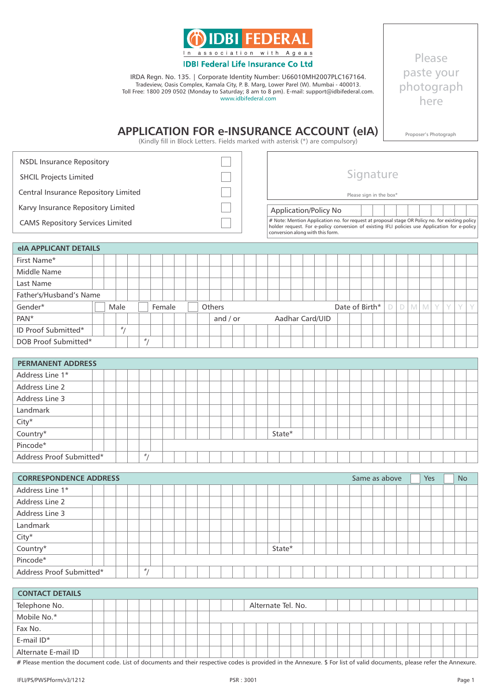

IRDA Regn. No. 135. | Corporate Identity Number: U66010MH2007PLC167164. Tradeview, Oasis Complex, Kamala City, P. B. Marg, Lower Parel (W). Mumbai - 400013. Toll Free: 1800 209 0502 (Monday to Saturday; 8 am to 8 pm). E-mail: support@idbifederal.com. www.idbifederal.com

Please paste your photograph here

Proposer's Photograph

# **APPLICATION FOR e-INSURANCE ACCOUNT (eIA)**

(Kindly fill in Block Letters. Fields marked with asterisk (\*) are compulsory)

| <b>NSDL Insurance Repository</b>        |                                                                                                                                                                                                                                       |                         |  |  |  |  |
|-----------------------------------------|---------------------------------------------------------------------------------------------------------------------------------------------------------------------------------------------------------------------------------------|-------------------------|--|--|--|--|
| <b>SHCIL Projects Limited</b>           |                                                                                                                                                                                                                                       | Signature               |  |  |  |  |
| Central Insurance Repository Limited    |                                                                                                                                                                                                                                       | Please sign in the box* |  |  |  |  |
| Karvy Insurance Repository Limited      | <b>Application/Policy No</b>                                                                                                                                                                                                          |                         |  |  |  |  |
| <b>CAMS Repository Services Limited</b> | # Note: Mention Application no. for request at proposal stage OR Policy no. for existing policy<br>holder request. For e-policy conversion of existing IFLI policies use Application for e-policy<br>conversion along with this form. |                         |  |  |  |  |
| <b>IS ADDUCATIVE DEVAILS</b>            |                                                                                                                                                                                                                                       |                         |  |  |  |  |

| <b>eIA APPLICANT DETAILS</b> |  |      |   |        |  |               |          |  |  |  |                 |  |                |  |   |            |  |            |  |
|------------------------------|--|------|---|--------|--|---------------|----------|--|--|--|-----------------|--|----------------|--|---|------------|--|------------|--|
| First Name*                  |  |      |   |        |  |               |          |  |  |  |                 |  |                |  |   |            |  |            |  |
| Middle Name                  |  |      |   |        |  |               |          |  |  |  |                 |  |                |  |   |            |  |            |  |
| Last Name                    |  |      |   |        |  |               |          |  |  |  |                 |  |                |  |   |            |  |            |  |
| Father's/Husband's Name      |  |      |   |        |  |               |          |  |  |  |                 |  |                |  |   |            |  |            |  |
| Gender*                      |  | Male |   | Female |  | <b>Others</b> |          |  |  |  |                 |  | Date of Birth* |  | D | <b>MMY</b> |  | $\sqrt{2}$ |  |
| PAN <sup>*</sup>             |  |      |   |        |  |               | and / or |  |  |  | Aadhar Card/UID |  |                |  |   |            |  |            |  |
| ID Proof Submitted*          |  | #    |   |        |  |               |          |  |  |  |                 |  |                |  |   |            |  |            |  |
| DOB Proof Submitted*         |  |      | # |        |  |               |          |  |  |  |                 |  |                |  |   |            |  |            |  |
|                              |  |      |   |        |  |               |          |  |  |  |                 |  |                |  |   |            |  |            |  |

| <b>PERMANENT ADDRESS</b> |  |  |                |  |  |  |  |  |        |  |  |  |  |  |  |  |  |
|--------------------------|--|--|----------------|--|--|--|--|--|--------|--|--|--|--|--|--|--|--|
| Address Line 1*          |  |  |                |  |  |  |  |  |        |  |  |  |  |  |  |  |  |
| Address Line 2           |  |  |                |  |  |  |  |  |        |  |  |  |  |  |  |  |  |
| Address Line 3           |  |  |                |  |  |  |  |  |        |  |  |  |  |  |  |  |  |
| Landmark                 |  |  |                |  |  |  |  |  |        |  |  |  |  |  |  |  |  |
| $City*$                  |  |  |                |  |  |  |  |  |        |  |  |  |  |  |  |  |  |
| $Country*$               |  |  |                |  |  |  |  |  | State* |  |  |  |  |  |  |  |  |
| Pincode*                 |  |  |                |  |  |  |  |  |        |  |  |  |  |  |  |  |  |
| Address Proof Submitted* |  |  | # <sub>1</sub> |  |  |  |  |  |        |  |  |  |  |  |  |  |  |

| <b>CORRESPONDENCE ADDRESS</b> |  |  |                |  |  |  |  |  |        |  |  |  | Same as above |  |  | Yes |  | <b>No</b> |  |
|-------------------------------|--|--|----------------|--|--|--|--|--|--------|--|--|--|---------------|--|--|-----|--|-----------|--|
| Address Line 1*               |  |  |                |  |  |  |  |  |        |  |  |  |               |  |  |     |  |           |  |
| Address Line 2                |  |  |                |  |  |  |  |  |        |  |  |  |               |  |  |     |  |           |  |
| Address Line 3                |  |  |                |  |  |  |  |  |        |  |  |  |               |  |  |     |  |           |  |
| Landmark                      |  |  |                |  |  |  |  |  |        |  |  |  |               |  |  |     |  |           |  |
| $City*$                       |  |  |                |  |  |  |  |  |        |  |  |  |               |  |  |     |  |           |  |
| Country*                      |  |  |                |  |  |  |  |  | State* |  |  |  |               |  |  |     |  |           |  |
| Pincode*                      |  |  |                |  |  |  |  |  |        |  |  |  |               |  |  |     |  |           |  |
| Address Proof Submitted*      |  |  | # <sub>1</sub> |  |  |  |  |  |        |  |  |  |               |  |  |     |  |           |  |

| <b>CONTACT DETAILS</b> |  |  |  |  |  |  |  |                    |  |  |  |  |  |  |  |  |  |
|------------------------|--|--|--|--|--|--|--|--------------------|--|--|--|--|--|--|--|--|--|
| Telephone No.          |  |  |  |  |  |  |  | Alternate Tel. No. |  |  |  |  |  |  |  |  |  |
| Mobile No.*            |  |  |  |  |  |  |  |                    |  |  |  |  |  |  |  |  |  |
| Fax No.                |  |  |  |  |  |  |  |                    |  |  |  |  |  |  |  |  |  |
| E-mail ID*             |  |  |  |  |  |  |  |                    |  |  |  |  |  |  |  |  |  |
| Alternate E-mail ID    |  |  |  |  |  |  |  |                    |  |  |  |  |  |  |  |  |  |

# Please mention the document code. List of documents and their respective codes is provided in the Annexure. \$ For list of valid documents, please refer the Annexure.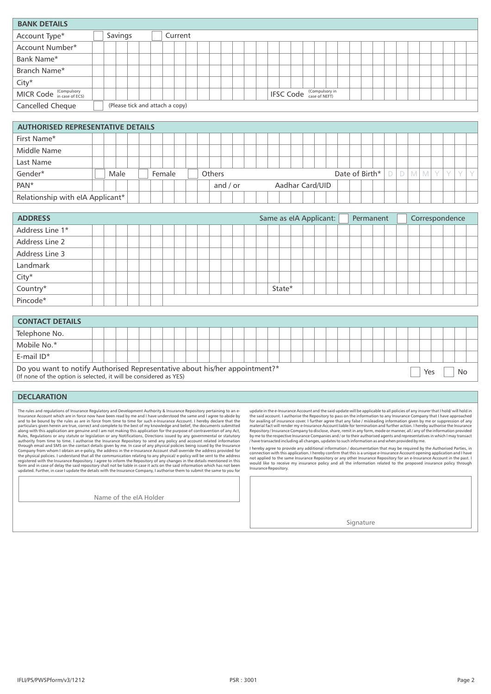| <b>BANK DETAILS</b>                      |  |                                 |  |  |         |  |  |  |  |  |                                 |  |  |  |  |  |  |  |
|------------------------------------------|--|---------------------------------|--|--|---------|--|--|--|--|--|---------------------------------|--|--|--|--|--|--|--|
| Account Type*                            |  | Savings                         |  |  | Current |  |  |  |  |  |                                 |  |  |  |  |  |  |  |
| Account Number*                          |  |                                 |  |  |         |  |  |  |  |  |                                 |  |  |  |  |  |  |  |
| Bank Name*                               |  |                                 |  |  |         |  |  |  |  |  |                                 |  |  |  |  |  |  |  |
| Branch Name*                             |  |                                 |  |  |         |  |  |  |  |  |                                 |  |  |  |  |  |  |  |
| $City*$                                  |  |                                 |  |  |         |  |  |  |  |  |                                 |  |  |  |  |  |  |  |
| MICR Code (Compulsory                    |  |                                 |  |  |         |  |  |  |  |  | <b>IFSC Code</b> (Compulsory in |  |  |  |  |  |  |  |
| Cancelled Cheque                         |  | (Please tick and attach a copy) |  |  |         |  |  |  |  |  |                                 |  |  |  |  |  |  |  |
|                                          |  |                                 |  |  |         |  |  |  |  |  |                                 |  |  |  |  |  |  |  |
| <b>AUTHORISED REPRESENTATIVE DETAILS</b> |  |                                 |  |  |         |  |  |  |  |  |                                 |  |  |  |  |  |  |  |
| First Name*                              |  |                                 |  |  |         |  |  |  |  |  |                                 |  |  |  |  |  |  |  |

| First Name*                      |  |      |  |        |  |               |            |  |  |  |                 |  |                       |  |      |     |  |  |
|----------------------------------|--|------|--|--------|--|---------------|------------|--|--|--|-----------------|--|-----------------------|--|------|-----|--|--|
| Middle Name                      |  |      |  |        |  |               |            |  |  |  |                 |  |                       |  |      |     |  |  |
| Last Name                        |  |      |  |        |  |               |            |  |  |  |                 |  |                       |  |      |     |  |  |
| Gender*                          |  | Male |  | Female |  | <b>Others</b> |            |  |  |  |                 |  | Date of Birth* $\Box$ |  | DIMM | - V |  |  |
| PAN <sup>*</sup>                 |  |      |  |        |  |               | and $/$ or |  |  |  | Aadhar Card/UID |  |                       |  |      |     |  |  |
| Relationship with eIA Applicant* |  |      |  |        |  |               |            |  |  |  |                 |  |                       |  |      |     |  |  |

| <b>ADDRESS</b>  |  |  |  |  |  |        |  | Same as eIA Applicant: |  | Permanent |  |  |  | Correspondence |  |
|-----------------|--|--|--|--|--|--------|--|------------------------|--|-----------|--|--|--|----------------|--|
| Address Line 1* |  |  |  |  |  |        |  |                        |  |           |  |  |  |                |  |
| Address Line 2  |  |  |  |  |  |        |  |                        |  |           |  |  |  |                |  |
| Address Line 3  |  |  |  |  |  |        |  |                        |  |           |  |  |  |                |  |
| Landmark        |  |  |  |  |  |        |  |                        |  |           |  |  |  |                |  |
| City*           |  |  |  |  |  |        |  |                        |  |           |  |  |  |                |  |
| $Country^*$     |  |  |  |  |  | State* |  |                        |  |           |  |  |  |                |  |
| Pincode*        |  |  |  |  |  |        |  |                        |  |           |  |  |  |                |  |

| <b>CONTACT DETAILS</b>                                                                                                                           |  |  |  |  |  |  |  |  |  |  |  |  |  |  |     |  |    |  |
|--------------------------------------------------------------------------------------------------------------------------------------------------|--|--|--|--|--|--|--|--|--|--|--|--|--|--|-----|--|----|--|
| Telephone No.                                                                                                                                    |  |  |  |  |  |  |  |  |  |  |  |  |  |  |     |  |    |  |
| Mobile No.*                                                                                                                                      |  |  |  |  |  |  |  |  |  |  |  |  |  |  |     |  |    |  |
| E-mail $ID^*$                                                                                                                                    |  |  |  |  |  |  |  |  |  |  |  |  |  |  |     |  |    |  |
| Do you want to notify Authorised Representative about his/her appointment?*<br>(If none of the option is selected, it will be considered as YES) |  |  |  |  |  |  |  |  |  |  |  |  |  |  | Yes |  | No |  |

## **DECLARATION**

The rules and regulations of Insurance Regulatory and Development Authority & Insurance Repository pertaining to an e-<br>Insurance Account which are in force now have been read by me and I have understood the same and I agre

Name of the eIA Holder

update in the e-Insurance Account and the said update will be applicable to all policies of any insurer that lhold/will hold in<br>the said account. I authorise the Repository to pass on the information to any Insurance Compa

I hereby agree to provide any additional information / documentation that may be required by the Authorised Parties, in<br>connection with this application. I hereby confirm that this is a unique e-Insurance Account opening a Insurance Repository.

Signature